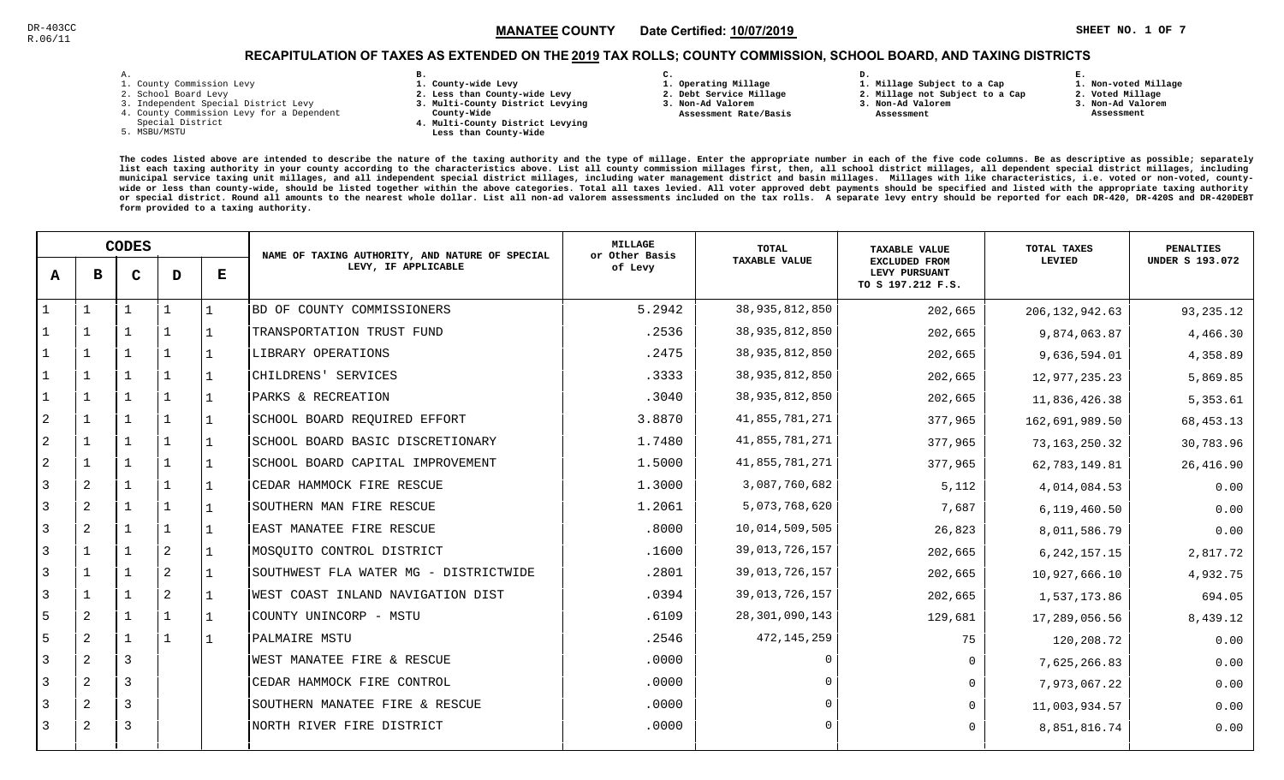**1. Non-voted Millage**

## RECAPITULATION OF TAXES AS EXTENDED ON THE <u>2019</u> TAX ROLLS; COUNTY COMMISSION, SCHOOL BOARD, AND TAXING DISTRICTS

| – | ٠ |  |  |
|---|---|--|--|

- 1. County Commission Levy
- 2. School Board Levy
- 3. Independent Special District Levy
- 4. County Commission Levy for a Dependent
- Special District
- 5. MSBU/MSTU
- **B. 1. County-wide Levy**
- **2. Less than County-wide Levy**
- **3. Multi-County District Levying**
- **County-Wide** 
	- **4. Multi-County District Levying Less than County-Wide**
- **C.**
- **1. Operating Millage**
- **2. Debt Service Millage 3. Non-Ad Valorem**
- **Assessment Rate/Basis**
- **2. Millage not Subject to a Cap3. Non-Ad Valorem**

**D.** 

 **Assessment** 

**1. Millage Subject to a Cap**

- 
- **2. Voted Millage3. Non-Ad Valorem**

**E.**

 **Assessment**

|                |                | <b>CODES</b> |              |              | NAME OF TAXING AUTHORITY, AND NATURE OF SPECIAL | <b>MILLAGE</b><br>or Other Basis | <b>TOTAL</b>         | <b>TAXABLE VALUE</b>                                       | TOTAL TAXES      | <b>PENALTIES</b>       |
|----------------|----------------|--------------|--------------|--------------|-------------------------------------------------|----------------------------------|----------------------|------------------------------------------------------------|------------------|------------------------|
| A              | в              | $\mathbf C$  | D            | Е            | LEVY, IF APPLICABLE                             | of Levy                          | <b>TAXABLE VALUE</b> | <b>EXCLUDED FROM</b><br>LEVY PURSUANT<br>TO S 197.212 F.S. | LEVIED           | <b>UNDER S 193.072</b> |
|                |                |              |              | 1            | BD OF COUNTY COMMISSIONERS                      | 5.2942                           | 38, 935, 812, 850    | 202,665                                                    | 206, 132, 942.63 | 93, 235. 12            |
|                | $\mathbf{1}$   |              | -1           | 1            | TRANSPORTATION TRUST FUND                       | .2536                            | 38,935,812,850       | 202,665                                                    | 9,874,063.87     | 4,466.30               |
|                | $\mathbf{1}$   | $\mathbf{1}$ | $\mathbf{1}$ | l 1          | LIBRARY OPERATIONS                              | .2475                            | 38,935,812,850       | 202,665                                                    | 9,636,594.01     | 4,358.89               |
|                | $\mathbf{1}$   | $\mathbf{1}$ | $\mathbf{1}$ | 1            | CHILDRENS' SERVICES                             | .3333                            | 38,935,812,850       | 202,665                                                    | 12,977,235.23    | 5,869.85               |
|                | $\mathbf{1}$   | $\mathbf{1}$ | $\mathbf{1}$ | $\vert$ 1    | PARKS & RECREATION                              | .3040                            | 38,935,812,850       | 202,665                                                    | 11,836,426.38    | 5,353.61               |
| $\overline{2}$ | $\mathbf{1}$   |              | $\mathbf{1}$ | l 1          | SCHOOL BOARD REQUIRED EFFORT                    | 3.8870                           | 41,855,781,271       | 377,965                                                    | 162,691,989.50   | 68, 453. 13            |
| 2              | $\overline{1}$ |              | $\mathbf{1}$ | l 1          | SCHOOL BOARD BASIC DISCRETIONARY                | 1.7480                           | 41,855,781,271       | 377,965                                                    | 73, 163, 250. 32 | 30,783.96              |
| 2              | $\mathbf{1}$   |              |              |              | SCHOOL BOARD CAPITAL IMPROVEMENT                | 1.5000                           | 41,855,781,271       | 377,965                                                    | 62,783,149.81    | 26, 416.90             |
| 3              | 2              |              | $\mathbf{1}$ | $\perp$      | CEDAR HAMMOCK FIRE RESCUE                       | 1.3000                           | 3,087,760,682        | 5,112                                                      | 4,014,084.53     | 0.00                   |
| 3              | 2              |              | $\mathbf{1}$ | l 1          | SOUTHERN MAN FIRE RESCUE                        | 1.2061                           | 5,073,768,620        | 7,687                                                      | 6,119,460.50     | 0.00                   |
| 3              | 2              | $\mathbf{1}$ | $\mathbf{1}$ | 1            | EAST MANATEE FIRE RESCUE                        | .8000                            | 10,014,509,505       | 26,823                                                     | 8,011,586.79     | 0.00                   |
| 3              | $\mathbf{1}$   |              | 2            | l 1          | MOSQUITO CONTROL DISTRICT                       | .1600                            | 39,013,726,157       | 202,665                                                    | 6, 242, 157. 15  | 2,817.72               |
| 3              | $\mathbf{1}$   |              | 2            | 1            | SOUTHWEST FLA WATER MG - DISTRICTWIDE           | .2801                            | 39,013,726,157       | 202,665                                                    | 10,927,666.10    | 4,932.75               |
| 3              | $\mathbf{1}$   |              | 2            | $\mathbf{1}$ | WEST COAST INLAND NAVIGATION DIST               | .0394                            | 39,013,726,157       | 202,665                                                    | 1,537,173.86     | 694.05                 |
| 5              | 2              |              | $\mathbf{1}$ | 1            | COUNTY UNINCORP - MSTU                          | .6109                            | 28, 301, 090, 143    | 129,681                                                    | 17,289,056.56    | 8,439.12               |
| 5              | 2              |              | $\mathbf{1}$ | l 1          | PALMAIRE MSTU                                   | .2546                            | 472, 145, 259        | 75                                                         | 120,208.72       | 0.00                   |
| 3              | 2              | 3            |              |              | WEST MANATEE FIRE & RESCUE                      | .0000                            | $\Omega$             | $\Omega$                                                   | 7,625,266.83     | 0.00                   |
| 3              | 2              | 3            |              |              | CEDAR HAMMOCK FIRE CONTROL                      | .0000                            |                      | $\Omega$                                                   | 7,973,067.22     | 0.00                   |
|                | $\overline{a}$ | 3            |              |              | SOUTHERN MANATEE FIRE & RESCUE                  | .0000                            | $\Omega$             | $\Omega$                                                   | 11,003,934.57    | 0.00                   |
| 3              | 2              | 3            |              |              | NORTH RIVER FIRE DISTRICT                       | .0000                            |                      | $\Omega$                                                   | 8,851,816.74     | 0.00                   |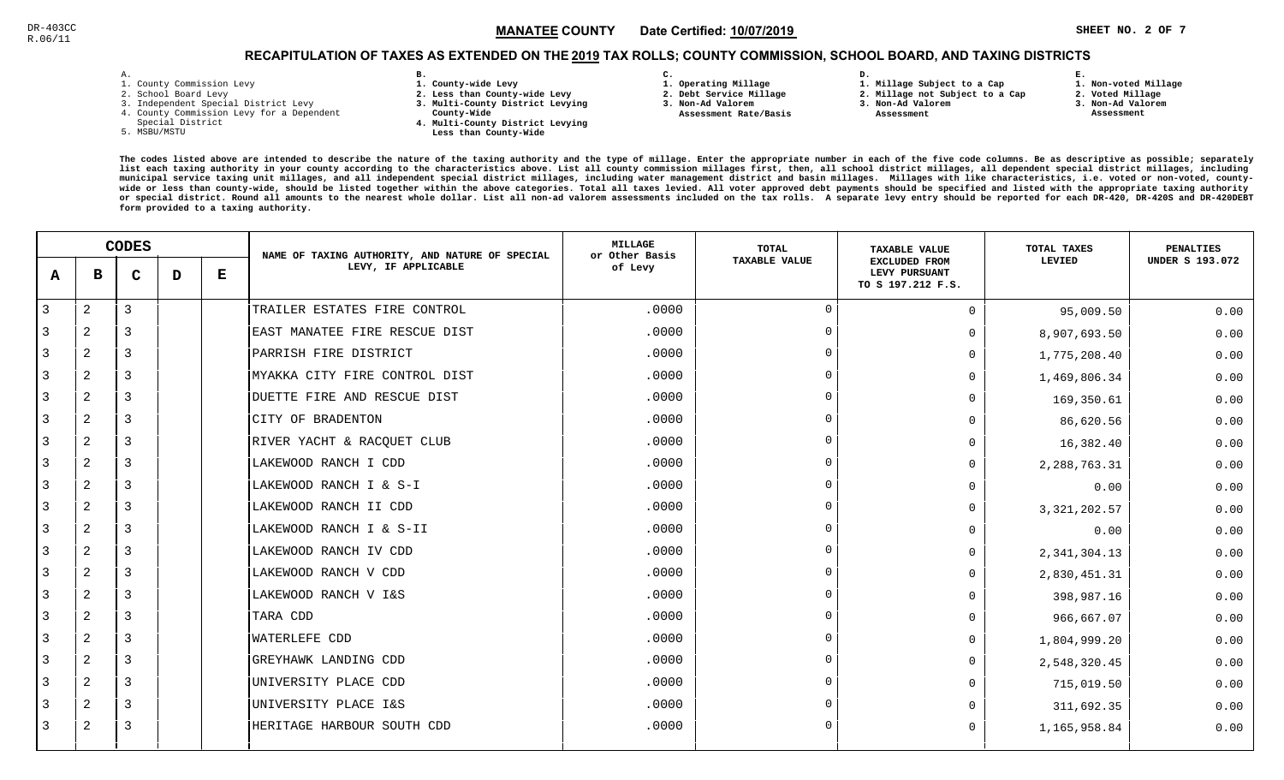## RECAPITULATION OF TAXES AS EXTENDED ON THE <u>2019</u> TAX ROLLS; COUNTY COMMISSION, SCHOOL BOARD, AND TAXING DISTRICTS

| ۰ |  |  |
|---|--|--|

- 1. County Commission Levy
- 2. School Board Levy
- 3. Independent Special District Levy
- 4. County Commission Levy for a Dependent
- Special District
- 5. MSBU/MSTU
- **B. 1. County-wide Levy**
- **2. Less than County-wide Levy**
- **3. Multi-County District Levying**
- **County-Wide** 
	- **4. Multi-County District Levying Less than County-Wide**
- **C. 3. Non-Ad Valorem**

**2. Debt Service Millage** 

 **Assessment Rate/Basis**

- **1. Operating Millage**
- **1. Millage Subject to a Cap**

**D.** 

- **2. Millage not Subject to a Cap3. Non-Ad Valorem**
	-
- - **Assessment**
- **3. Non-Ad Valorem**

**E.**

- **2. Voted Millage Assessment**
	-

**1. Non-voted Millage**

|   | <b>CODES</b>   |                |   | NAME OF TAXING AUTHORITY, AND NATURE OF SPECIAL | <b>MILLAGE</b><br>or Other Basis | <b>TOTAL</b> | <b>TAXABLE VALUE</b> | TOTAL TAXES                                                | <b>PENALTIES</b> |                        |
|---|----------------|----------------|---|-------------------------------------------------|----------------------------------|--------------|----------------------|------------------------------------------------------------|------------------|------------------------|
| A | в              | $\mathbf C$    | D | $\bf E$                                         | LEVY, IF APPLICABLE              | of Levy      | <b>TAXABLE VALUE</b> | <b>EXCLUDED FROM</b><br>LEVY PURSUANT<br>TO S 197.212 F.S. | LEVIED           | <b>UNDER S 193.072</b> |
| 3 | $\sqrt{2}$     | $\mathbf{3}$   |   |                                                 | TRAILER ESTATES FIRE CONTROL     | .0000        | $\overline{0}$       | $\Omega$                                                   | 95,009.50        | 0.00                   |
| 3 | 2              | 3              |   |                                                 | EAST MANATEE FIRE RESCUE DIST    | .0000        | $\overline{0}$       | 0                                                          | 8,907,693.50     | 0.00                   |
| 3 | 2              | $\overline{3}$ |   |                                                 | PARRISH FIRE DISTRICT            | .0000        | $\Omega$             | 0                                                          | 1,775,208.40     | 0.00                   |
| 3 | 2              | $\overline{3}$ |   |                                                 | MYAKKA CITY FIRE CONTROL DIST    | .0000        | $\overline{0}$       | 0                                                          | 1,469,806.34     | 0.00                   |
| 3 | $\overline{2}$ | 3              |   |                                                 | DUETTE FIRE AND RESCUE DIST      | .0000        | $\Omega$             | 0                                                          | 169,350.61       | 0.00                   |
| 3 | 2              | $\overline{3}$ |   |                                                 | CITY OF BRADENTON                | .0000        | $\overline{0}$       | 0                                                          | 86,620.56        | 0.00                   |
| 3 | 2              | 3              |   |                                                 | RIVER YACHT & RACQUET CLUB       | .0000        | $\Omega$             | 0                                                          | 16,382.40        | 0.00                   |
| 3 | 2              | 3              |   |                                                 | LAKEWOOD RANCH I CDD             | .0000        | $\Omega$             | 0                                                          | 2, 288, 763. 31  | 0.00                   |
| 3 | $\mathbf{2}$   | $\overline{3}$ |   |                                                 | LAKEWOOD RANCH I & S-I           | .0000        | $\Omega$             | 0                                                          | 0.00             | 0.00                   |
| 3 | 2              | 3              |   |                                                 | LAKEWOOD RANCH II CDD            | .0000        | $\overline{0}$       | 0                                                          | 3, 321, 202.57   | 0.00                   |
| 3 | $\mathbf{2}$   | 3              |   |                                                 | LAKEWOOD RANCH I & S-II          | .0000        | $\overline{0}$       | 0                                                          | 0.00             | 0.00                   |
| 3 | 2              | $\overline{3}$ |   |                                                 | LAKEWOOD RANCH IV CDD            | .0000        | $\overline{0}$       | 0                                                          | 2, 341, 304.13   | 0.00                   |
| 3 | 2              | 3              |   |                                                 | LAKEWOOD RANCH V CDD             | .0000        | $\overline{0}$       | 0                                                          | 2,830,451.31     | 0.00                   |
| 3 | $\overline{2}$ | $\overline{3}$ |   |                                                 | LAKEWOOD RANCH V I&S             | .0000        | $\Omega$             | U                                                          | 398,987.16       | 0.00                   |
| 3 | 2              | 3              |   |                                                 | TARA CDD                         | .0000        | $\Omega$             | 0                                                          | 966,667.07       | 0.00                   |
| 3 | $\overline{2}$ | 3              |   |                                                 | WATERLEFE CDD                    | .0000        | $\Omega$             | $\Omega$                                                   | 1,804,999.20     | 0.00                   |
| 3 | 2              | 3              |   |                                                 | GREYHAWK LANDING CDD             | .0000        | $\Omega$             | 0                                                          | 2,548,320.45     | 0.00                   |
| 3 | 2              | 3              |   |                                                 | UNIVERSITY PLACE CDD             | .0000        | $\Omega$             | 0                                                          | 715,019.50       | 0.00                   |
| 3 | 2              | $\overline{3}$ |   |                                                 | UNIVERSITY PLACE I&S             | .0000        | $\Omega$             |                                                            | 311,692.35       | 0.00                   |
| 3 | 2              | 3              |   |                                                 | HERITAGE HARBOUR SOUTH CDD       | .0000        | $\Omega$             | $\Omega$                                                   | 1,165,958.84     | 0.00                   |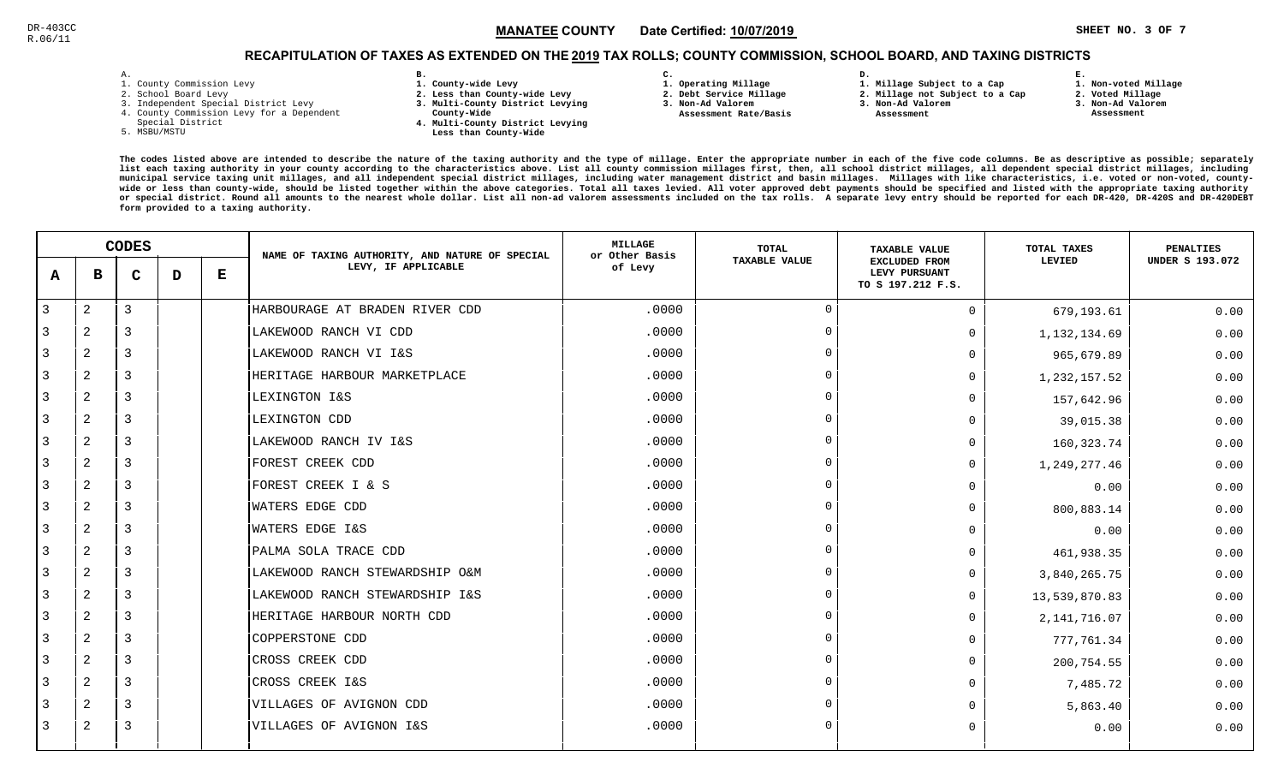**1. Non-voted Millage**

# RECAPITULATION OF TAXES AS EXTENDED ON THE <u>2019</u> TAX ROLLS; COUNTY COMMISSION, SCHOOL BOARD, AND TAXING DISTRICTS

| ۰ |  |  |
|---|--|--|

- 1. County Commission Levy
- 2. School Board Levy
- 3. Independent Special District Levy
- 4. County Commission Levy for a Dependent
- Special District
- 5. MSBU/MSTU
- **B. 1. County-wide Levy**
- **2. Less than County-wide Levy**
- **3. Multi-County District Levying**
- **County-Wide** 
	- **4. Multi-County District Levying Less than County-Wide**
- **C.**
- **1. Operating Millage**
- **2. Debt Service Millage**
- **3. Non-Ad Valorem**
- **Assessment Rate/Basis**
- **2. Millage not Subject to a Cap3. Non-Ad Valorem**

**D.** 

 **Assessment** 

**1. Millage Subject to a Cap**

**2. Voted Millage3. Non-Ad Valorem**

**E.**

 **Assessment**

|   |                | <b>CODES</b> |   |         | NAME OF TAXING AUTHORITY, AND NATURE OF SPECIAL | <b>MILLAGE</b><br>or Other Basis | TOTAL                | <b>TAXABLE VALUE</b>                                       | TOTAL TAXES    | <b>PENALTIES</b>       |
|---|----------------|--------------|---|---------|-------------------------------------------------|----------------------------------|----------------------|------------------------------------------------------------|----------------|------------------------|
| A | в              | C            | D | $\bf E$ | LEVY, IF APPLICABLE                             | of Levy                          | <b>TAXABLE VALUE</b> | <b>EXCLUDED FROM</b><br>LEVY PURSUANT<br>TO S 197.212 F.S. | LEVIED         | <b>UNDER S 193.072</b> |
| 3 | $\overline{2}$ | 3            |   |         | HARBOURAGE AT BRADEN RIVER CDD                  | .0000                            | $\overline{0}$       | $\Omega$                                                   | 679,193.61     | 0.00                   |
| 3 | 2              | 3            |   |         | LAKEWOOD RANCH VI CDD                           | .0000                            | $\Omega$             | $\Omega$                                                   | 1,132,134.69   | 0.00                   |
| 3 | 2              | 3            |   |         | LAKEWOOD RANCH VI I&S                           | .0000                            | $\Omega$             | $\Omega$                                                   | 965,679.89     | 0.00                   |
| 3 | $\overline{2}$ | 3            |   |         | HERITAGE HARBOUR MARKETPLACE                    | .0000                            | $\overline{0}$       | $\Omega$                                                   | 1,232,157.52   | 0.00                   |
| 3 | 2              | 3            |   |         | LEXINGTON I&S                                   | .0000                            | $\Omega$             | $\Omega$                                                   | 157,642.96     | 0.00                   |
| 3 | 2              | 3            |   |         | LEXINGTON CDD                                   | .0000                            | $\Omega$             | <sup>n</sup>                                               | 39,015.38      | 0.00                   |
| 3 | $\overline{2}$ | 3            |   |         | LAKEWOOD RANCH IV I&S                           | .0000                            | $\Omega$             | 0                                                          | 160, 323. 74   | 0.00                   |
| 3 | 2              | 3            |   |         | <b>FOREST CREEK CDD</b>                         | .0000                            | $\Omega$             | $\Omega$                                                   | 1,249,277.46   | 0.00                   |
| 3 | 2              | 3            |   |         | FOREST CREEK I & S                              | .0000                            | $\Omega$             | $\Omega$                                                   | 0.00           | 0.00                   |
| 3 | 2              | 3            |   |         | <b>WATERS EDGE CDD</b>                          | .0000                            | $\Omega$             | $\Omega$                                                   | 800,883.14     | 0.00                   |
| 3 | $\overline{a}$ | 3            |   |         | <b>WATERS EDGE I&amp;S</b>                      | .0000                            | $\overline{0}$       | <sup>n</sup>                                               | 0.00           | 0.00                   |
| 3 | 2              | 3            |   |         | PALMA SOLA TRACE CDD                            | .0000                            | $\overline{0}$       | O                                                          | 461,938.35     | 0.00                   |
| 3 | 2              | 3            |   |         | LAKEWOOD RANCH STEWARDSHIP O&M                  | .0000                            | $\Omega$             | $\Omega$                                                   | 3,840,265.75   | 0.00                   |
| 3 | 2              | 3            |   |         | LAKEWOOD RANCH STEWARDSHIP I&S                  | .0000                            | $\Omega$             | 0                                                          | 13,539,870.83  | 0.00                   |
| 3 | 2              | 3            |   |         | HERITAGE HARBOUR NORTH CDD                      | .0000                            | $\overline{0}$       | $\Omega$                                                   | 2, 141, 716.07 | 0.00                   |
| 3 | 2              | 3            |   |         | COPPERSTONE CDD                                 | .0000                            | $\Omega$             | $\Omega$                                                   | 777,761.34     | 0.00                   |
| 3 | $\overline{a}$ | 3            |   |         | CROSS CREEK CDD                                 | .0000                            | $\Omega$             | $\Omega$                                                   | 200,754.55     | 0.00                   |
| 3 | $\overline{2}$ | 3            |   |         | CROSS CREEK I&S                                 | .0000                            | $\overline{0}$       | $\Omega$                                                   | 7,485.72       | 0.00                   |
| 3 | 2              | 3            |   |         | VILLAGES OF AVIGNON CDD                         | .0000                            | $\Omega$             | $\Omega$                                                   | 5,863.40       | 0.00                   |
| 3 | 2              | 3            |   |         | VILLAGES OF AVIGNON I&S                         | .0000                            | $\Omega$             | $\Omega$                                                   | 0.00           | 0.00                   |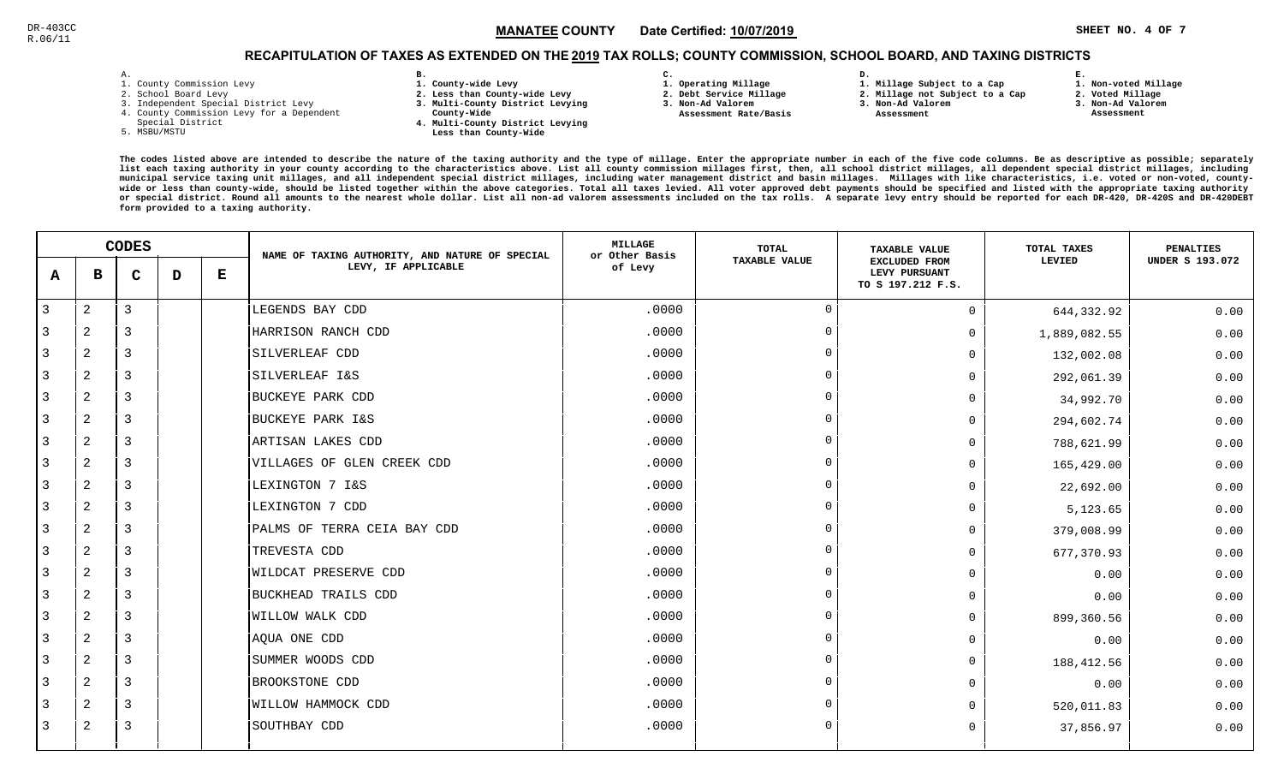# RECAPITULATION OF TAXES AS EXTENDED ON THE <u>2019</u> TAX ROLLS; COUNTY COMMISSION, SCHOOL BOARD, AND TAXING DISTRICTS

| – | ٠ |  |  |
|---|---|--|--|

- 1. County Commission Levy
- 2. School Board Levy
- 3. Independent Special District Levy
- 4. County Commission Levy for a Dependent
- Special District
- 5. MSBU/MSTU
- **B. 1. County-wide Levy**
- **2. Less than County-wide Levy**
- **3. Multi-County District Levying**
- **County-Wide** 
	- **4. Multi-County District Levying Less than County-Wide**
- **C.**
- **1. Operating Millage**
- **2. Debt Service Millage 3. Non-Ad Valorem**
- **Assessment Rate/Basis**
- **2. Millage not Subject to a Cap**

**D.** 

**3. Non-Ad Valorem Assessment** 

**1. Millage Subject to a Cap**

- 
- **1. Non-voted Millage2. Voted Millage**

**E.**

- **3. Non-Ad Valorem**
- **Assessment**

|   |                | <b>CODES</b>   |   |         | NAME OF TAXING AUTHORITY, AND NATURE OF SPECIAL | <b>MILLAGE</b><br>or Other Basis | TOTAL                | <b>TAXABLE VALUE</b>                                       | TOTAL TAXES  | <b>PENALTIES</b>       |
|---|----------------|----------------|---|---------|-------------------------------------------------|----------------------------------|----------------------|------------------------------------------------------------|--------------|------------------------|
| A | в              | $\mathbf C$    | D | $\bf E$ | LEVY, IF APPLICABLE                             | of Levy                          | <b>TAXABLE VALUE</b> | <b>EXCLUDED FROM</b><br>LEVY PURSUANT<br>TO S 197.212 F.S. | LEVIED       | <b>UNDER S 193.072</b> |
| 3 | 2              | $\mathbf{3}$   |   |         | LEGENDS BAY CDD                                 | .0000                            | $\overline{0}$       | $\Omega$                                                   | 644,332.92   | 0.00                   |
| 3 | 2              | 3              |   |         | HARRISON RANCH CDD                              | .0000                            | $\Omega$             | 0                                                          | 1,889,082.55 | 0.00                   |
| 3 | 2              | 3              |   |         | SILVERLEAF CDD                                  | .0000                            | $\Omega$             | 0                                                          | 132,002.08   | 0.00                   |
| 3 | 2              | $\overline{3}$ |   |         | SILVERLEAF I&S                                  | .0000                            | $\Omega$             | U                                                          | 292,061.39   | 0.00                   |
| 3 | 2              | $\overline{3}$ |   |         | <b>BUCKEYE PARK CDD</b>                         | .0000                            | $\overline{0}$       | 0                                                          | 34,992.70    | 0.00                   |
| 3 | 2              | $\overline{3}$ |   |         | BUCKEYE PARK I&S                                | .0000                            | $\Omega$             | 0                                                          | 294,602.74   | 0.00                   |
| 3 | 2              | 3              |   |         | ARTISAN LAKES CDD                               | .0000                            | $\Omega$             | 0                                                          | 788,621.99   | 0.00                   |
| 3 | 2              | 3              |   |         | VILLAGES OF GLEN CREEK CDD                      | .0000                            | $\Omega$             | 0                                                          | 165,429.00   | 0.00                   |
| 3 | 2              | 3              |   |         | LEXINGTON 7 I&S                                 | .0000                            | $\overline{0}$       | 0                                                          | 22,692.00    | 0.00                   |
| 3 | 2              | 3              |   |         | LEXINGTON 7 CDD                                 | .0000                            | $\Omega$             | 0                                                          | 5,123.65     | 0.00                   |
| 3 | 2              | 3              |   |         | PALMS OF TERRA CEIA BAY CDD                     | .0000                            | $\overline{0}$       | 0                                                          | 379,008.99   | 0.00                   |
| 3 | 2              | $\overline{3}$ |   |         | TREVESTA CDD                                    | .0000                            | $\Omega$             | 0                                                          | 677,370.93   | 0.00                   |
| 3 | 2              | 3              |   |         | <b>WILDCAT PRESERVE CDD</b>                     | .0000                            | $\Omega$             | 0                                                          | 0.00         | 0.00                   |
| 3 | 2              | $\overline{3}$ |   |         | BUCKHEAD TRAILS CDD                             | .0000                            | $\Omega$             | 0                                                          | 0.00         | 0.00                   |
| 3 | 2              | 3              |   |         | WILLOW WALK CDD                                 | .0000                            | - 0                  | 0                                                          | 899,360.56   | 0.00                   |
| 3 | $\overline{a}$ | 3              |   |         | AQUA ONE CDD                                    | .0000                            | $\Omega$             | 0                                                          | 0.00         | 0.00                   |
| 3 | 2              | 3              |   |         | SUMMER WOODS CDD                                | .0000                            | $\Omega$             | 0                                                          | 188,412.56   | 0.00                   |
| 3 | $\overline{a}$ | 3              |   |         | BROOKSTONE CDD                                  | .0000                            | $\Omega$             | 0                                                          | 0.00         | 0.00                   |
| 3 | 2              | $\overline{3}$ |   |         | WILLOW HAMMOCK CDD                              | .0000                            | $\Omega$             |                                                            | 520,011.83   | 0.00                   |
| 3 | 2              | 3              |   |         | SOUTHBAY CDD                                    | .0000                            | $\overline{0}$       | 0                                                          | 37,856.97    | 0.00                   |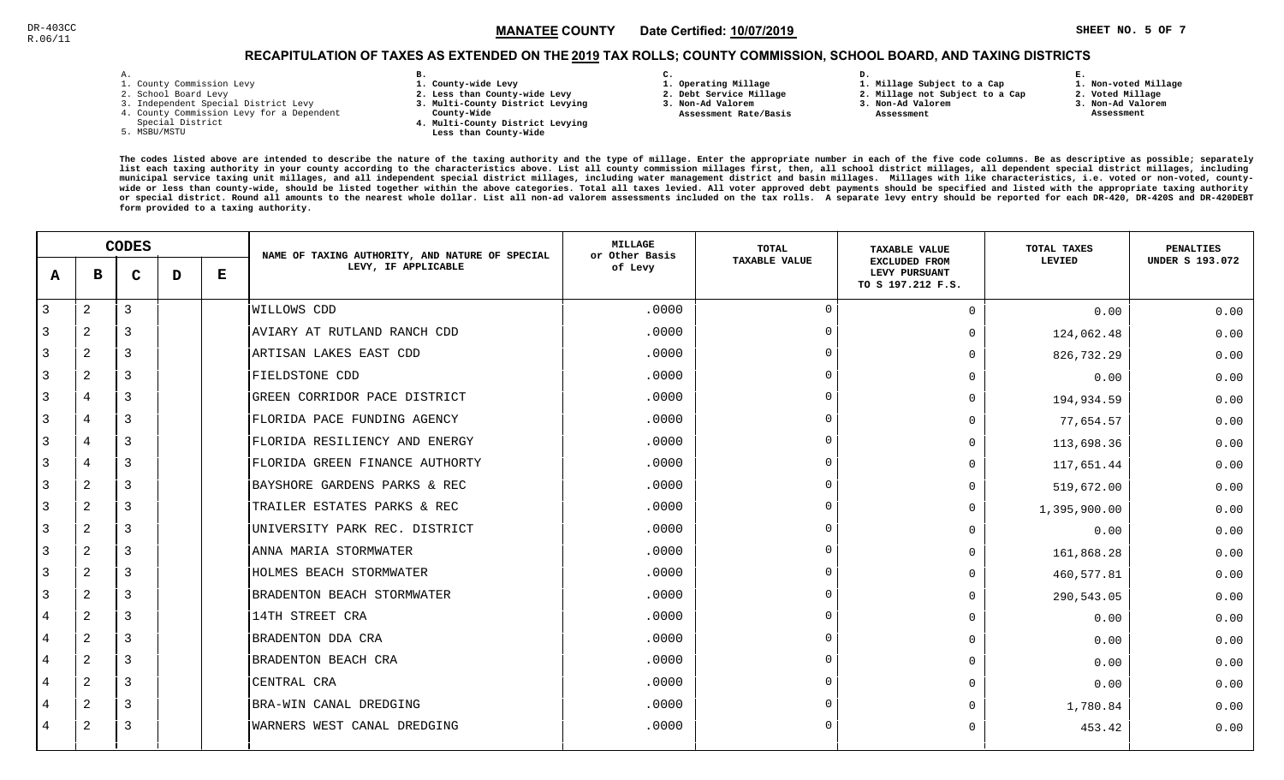# RECAPITULATION OF TAXES AS EXTENDED ON THE <u>2019</u> TAX ROLLS; COUNTY COMMISSION, SCHOOL BOARD, AND TAXING DISTRICTS

| ۰ |  |  |
|---|--|--|

- 1. County Commission Levy
- 2. School Board Levy
- 3. Independent Special District Levy
- 4. County Commission Levy for a Dependent
- Special District
- 5. MSBU/MSTU
- **B. 1. County-wide Levy**
- **2. Less than County-wide Levy**
- **3. Multi-County District Levying**
- **County-Wide** 
	- **4. Multi-County District Levying Less than County-Wide**
- **C.**
- **1. Operating Millage**
- **2. Debt Service Millage 3. Non-Ad Valorem**
- **Assessment Rate/Basis**
- **2. Millage not Subject to a Cap3. Non-Ad Valorem**

**D.** 

 **Assessment** 

**1. Millage Subject to a Cap**

- 
- **2. Voted Millage 3. Non-Ad Valorem Assessment**

**E.**

**1. Non-voted Millage**

|              |                | <b>CODES</b> |   |   | NAME OF TAXING AUTHORITY, AND NATURE OF SPECIAL | MILLAGE<br>or Other Basis | TOTAL         | <b>TAXABLE VALUE</b>                                       | TOTAL TAXES  | <b>PENALTIES</b>       |
|--------------|----------------|--------------|---|---|-------------------------------------------------|---------------------------|---------------|------------------------------------------------------------|--------------|------------------------|
| $\mathbf{A}$ | в              | C            | D | Е | LEVY, IF APPLICABLE                             | of Levy                   | TAXABLE VALUE | <b>EXCLUDED FROM</b><br>LEVY PURSUANT<br>TO S 197.212 F.S. | LEVIED       | <b>UNDER S 193.072</b> |
| 3            | $\overline{c}$ | 3            |   |   | WILLOWS CDD                                     | .0000                     |               | $\Omega$                                                   | 0.00         | 0.00                   |
|              | $\overline{2}$ | 3            |   |   | AVIARY AT RUTLAND RANCH CDD                     | .0000                     | $\cup$        | 0                                                          | 124,062.48   | 0.00                   |
| 3            | 2              | 3            |   |   | ARTISAN LAKES EAST CDD                          | .0000                     |               | $\Omega$                                                   | 826,732.29   | 0.00                   |
| 3            | 2              | 3            |   |   | FIELDSTONE CDD                                  | .0000                     | $\Omega$      | <sup>n</sup>                                               | 0.00         | 0.00                   |
| 3            | $\overline{4}$ | 3            |   |   | GREEN CORRIDOR PACE DISTRICT                    | .0000                     | $\Omega$      | 0                                                          | 194,934.59   | 0.00                   |
| 3            | 4              | 3            |   |   | FLORIDA PACE FUNDING AGENCY                     | .0000                     |               | $\Omega$                                                   | 77,654.57    | 0.00                   |
| 3            | 4              | 3            |   |   | FLORIDA RESILIENCY AND ENERGY                   | .0000                     |               | <sup>n</sup>                                               | 113,698.36   | 0.00                   |
| 3            | 4              | 3            |   |   | FLORIDA GREEN FINANCE AUTHORTY                  | .0000                     |               | $\Omega$                                                   | 117,651.44   | 0.00                   |
| 3            | $\overline{2}$ | 3            |   |   | BAYSHORE GARDENS PARKS & REC                    | .0000                     |               | <sup>n</sup>                                               | 519,672.00   | 0.00                   |
| 3            | 2              | 3            |   |   | TRAILER ESTATES PARKS & REC                     | .0000                     |               | $\Omega$                                                   | 1,395,900.00 | 0.00                   |
| 3            | 2              | 3            |   |   | UNIVERSITY PARK REC. DISTRICT                   | .0000                     | $\Omega$      | $\Omega$                                                   | 0.00         | 0.00                   |
| 3            | $\overline{a}$ | 3            |   |   | ANNA MARIA STORMWATER                           | .0000                     | $\Omega$      | 0                                                          | 161,868.28   | 0.00                   |
| 3            | $\overline{2}$ | 3            |   |   | HOLMES BEACH STORMWATER                         | .0000                     |               | $\Omega$                                                   | 460,577.81   | 0.00                   |
|              | $\overline{a}$ | 3            |   |   | BRADENTON BEACH STORMWATER                      | .0000                     | $\cap$        | $\Omega$                                                   | 290,543.05   | 0.00                   |
| 4            | $\mathbf{2}$   | 3            |   |   | 14TH STREET CRA                                 | .0000                     |               | $\Omega$                                                   | 0.00         | 0.00                   |
| 4            | 2              | 3            |   |   | BRADENTON DDA CRA                               | .0000                     | $\cap$        | $\Omega$                                                   | 0.00         | 0.00                   |
| 4            | 2              | 3            |   |   | BRADENTON BEACH CRA                             | .0000                     |               | $\Omega$                                                   | 0.00         | 0.00                   |
| 4            | $\overline{2}$ | 3            |   |   | CENTRAL CRA                                     | .0000                     |               | $\Omega$                                                   | 0.00         | 0.00                   |
| 4            | $\overline{a}$ | 3            |   |   | BRA-WIN CANAL DREDGING                          | .0000                     |               | <sup>n</sup>                                               | 1,780.84     | 0.00                   |
| 4            | $\overline{2}$ | 3            |   |   | WARNERS WEST CANAL DREDGING                     | .0000                     |               | $\Omega$                                                   | 453.42       | 0.00                   |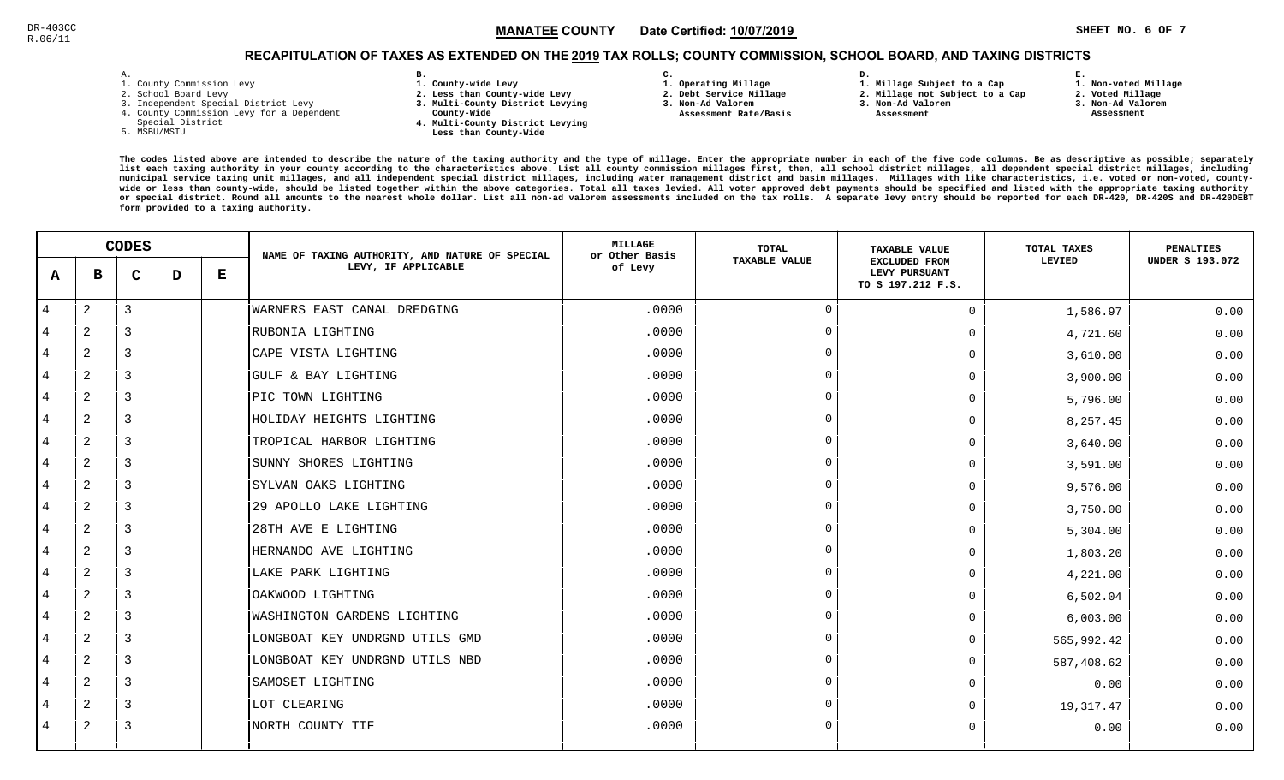# RECAPITULATION OF TAXES AS EXTENDED ON THE <u>2019</u> TAX ROLLS; COUNTY COMMISSION, SCHOOL BOARD, AND TAXING DISTRICTS

| <b>-</b> | ۰ |  |  |
|----------|---|--|--|

- 1. County Commission Levy
- 2. School Board Levy
- 3. Independent Special District Levy
- 4. County Commission Levy for a Dependent
- Special District
- 5. MSBU/MSTU
- **B. 1. County-wide Levy**
- **2. Less than County-wide Levy**
- **3. Multi-County District Levying**
- **County-Wide** 
	- **4. Multi-County District Levying Less than County-Wide**

**C.** 

 **Assessment Rate/Basis**

- **1. Operating Millage**
- **2. Debt Service Millage 3. Non-Ad Valorem**
	-

**D.** 

- **2. Millage not Subject to a Cap3. Non-Ad Valorem**
	- **Assessment**

**1. Millage Subject to a Cap**

 **1. Non-voted Millage2. Voted Millage**

**E.**

- **3. Non-Ad Valorem**
- **Assessment**
- 

|                |              | <b>CODES</b> |   |   | NAME OF TAXING AUTHORITY, AND NATURE OF SPECIAL | <b>MILLAGE</b><br>or Other Basis | <b>TOTAL</b>         | <b>TAXABLE VALUE</b>                                       | TOTAL TAXES | <b>PENALTIES</b>       |
|----------------|--------------|--------------|---|---|-------------------------------------------------|----------------------------------|----------------------|------------------------------------------------------------|-------------|------------------------|
| A              | в            | $\mathbf C$  | D | Е | LEVY, IF APPLICABLE                             | of Levy                          | <b>TAXABLE VALUE</b> | <b>EXCLUDED FROM</b><br>LEVY PURSUANT<br>TO S 197.212 F.S. | LEVIED      | <b>UNDER S 193.072</b> |
| 4              | $\mathbf{2}$ | 3            |   |   | WARNERS EAST CANAL DREDGING                     | .0000                            | $\Omega$             | $\Omega$                                                   | 1,586.97    | 0.00                   |
| 4              | 2            | 3            |   |   | RUBONIA LIGHTING                                | .0000                            | $\overline{0}$       | $\Omega$                                                   | 4,721.60    | 0.00                   |
| 4              | 2            | 3            |   |   | CAPE VISTA LIGHTING                             | .0000                            | $\Omega$             | $\Omega$                                                   | 3,610.00    | 0.00                   |
| 4              | 2            | 3            |   |   | GULF & BAY LIGHTING                             | .0000                            | $\Omega$             | 0                                                          | 3,900.00    | 0.00                   |
| 4              | 2            | 3            |   |   | PIC TOWN LIGHTING                               | .0000                            | $\Omega$             | 0                                                          | 5,796.00    | 0.00                   |
| 4              | 2            | 3            |   |   | HOLIDAY HEIGHTS LIGHTING                        | .0000                            | $\Omega$             | U                                                          | 8,257.45    | 0.00                   |
| 4              | 2            | 3            |   |   | TROPICAL HARBOR LIGHTING                        | .0000                            | $\Omega$             | 0                                                          | 3,640.00    | 0.00                   |
| 4              | 2            | 3            |   |   | SUNNY SHORES LIGHTING                           | .0000                            | $\Omega$             | 0                                                          | 3,591.00    | 0.00                   |
| 4              | 2            | 3            |   |   | SYLVAN OAKS LIGHTING                            | .0000                            | $\Omega$             | $\Omega$                                                   | 9,576.00    | 0.00                   |
| 4              | 2            | 3            |   |   | 29 APOLLO LAKE LIGHTING                         | .0000                            | $\Omega$             | $\Omega$                                                   | 3,750.00    | 0.00                   |
| 4              | 2            | 3            |   |   | 28TH AVE E LIGHTING                             | .0000                            | $\Omega$             | 0                                                          | 5,304.00    | 0.00                   |
| 4              | 2            | 3            |   |   | HERNANDO AVE LIGHTING                           | .0000                            | $\Omega$             | $\Omega$                                                   | 1,803.20    | 0.00                   |
| 4              | $\mathbf{2}$ | 3            |   |   | LAKE PARK LIGHTING                              | .0000                            | $\Omega$             | 0                                                          | 4,221.00    | 0.00                   |
| $\overline{4}$ | 2            | 3            |   |   | OAKWOOD LIGHTING                                | .0000                            | $\Omega$             | 0                                                          | 6,502.04    | 0.00                   |
| 4              | 2            | 3            |   |   | WASHINGTON GARDENS LIGHTING                     | .0000                            | $\Omega$             | 0                                                          | 6,003.00    | 0.00                   |
| 4              | 2            | 3            |   |   | LONGBOAT KEY UNDRGND UTILS GMD                  | .0000                            | $\Omega$             | $\Omega$                                                   | 565,992.42  | 0.00                   |
| 4              | 2            | 3            |   |   | LONGBOAT KEY UNDRGND UTILS NBD                  | .0000                            | $\Omega$             | $\Omega$                                                   | 587,408.62  | 0.00                   |
| 4              | 2            | 3            |   |   | SAMOSET LIGHTING                                | .0000                            | $\Omega$             | 0                                                          | 0.00        | 0.00                   |
| 4              | 2            | 3            |   |   | LOT CLEARING                                    | .0000                            | $\Omega$             | U                                                          | 19,317.47   | 0.00                   |
| 4              | 2            | 3            |   |   | NORTH COUNTY TIF                                | .0000                            | $\Omega$             | 0                                                          | 0.00        | 0.00                   |